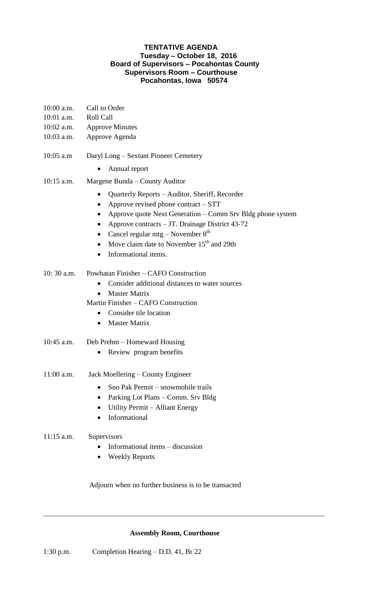## **TENTATIVE AGENDA Tuesday – October 18, 2016 Board of Supervisors – Pocahontas County Supervisors Room – Courthouse Pocahontas, Iowa 50574**

| 10:00 a.m.<br>10:01 a.m.   | Call to Order<br><b>Roll Call</b>                                                                                                                                                                                                                                                                                                                                                                                                                            |
|----------------------------|--------------------------------------------------------------------------------------------------------------------------------------------------------------------------------------------------------------------------------------------------------------------------------------------------------------------------------------------------------------------------------------------------------------------------------------------------------------|
| $10:02$ a.m.<br>10:03 a.m. | <b>Approve Minutes</b><br>Approve Agenda                                                                                                                                                                                                                                                                                                                                                                                                                     |
| $10:05$ a.m                | Daryl Long - Sextant Pioneer Cemetery<br>Annual report<br>$\bullet$                                                                                                                                                                                                                                                                                                                                                                                          |
| $10:15$ a.m.               | Margene Bunda – County Auditor<br>Quarterly Reports - Auditor, Sheriff, Recorder<br>$\bullet$<br>Approve revised phone contract - STT<br>$\bullet$<br>Approve quote Next Generation – Comm Srv Bldg phone system<br>$\bullet$<br>Approve contracts - JT. Drainage District 43-72<br>$\bullet$<br>Cancel regular mtg – November $8th$<br>$\bullet$<br>Move claim date to November 15 <sup>th</sup> and 29th<br>$\bullet$<br>Informational items.<br>$\bullet$ |
| $10:30$ a.m.               | Powhatan Finisher – CAFO Construction<br>Consider additional distances to water sources<br>$\bullet$<br><b>Master Matrix</b><br>Martin Finisher – CAFO Construction<br>Consider tile location<br>$\bullet$<br><b>Master Matrix</b><br>$\bullet$                                                                                                                                                                                                              |
| 10:45 a.m.                 | Deb Prehm – Homeward Housing<br>Review program benefits<br>$\bullet$                                                                                                                                                                                                                                                                                                                                                                                         |
| 11:00 a.m.                 | Jack Moellering – County Engineer<br>Sno Pak Permit – snowmobile trails<br>Parking Lot Plans - Comm. Srv Bldg<br>$\bullet$<br>Utility Permit – Alliant Energy<br>$\bullet$<br>Informational                                                                                                                                                                                                                                                                  |
| $11:15$ a.m.               | Supervisors<br>Informational items – discussion<br><b>Weekly Reports</b>                                                                                                                                                                                                                                                                                                                                                                                     |

Adjourn when no further business is to be transacted

## **Assembly Room, Courthouse**